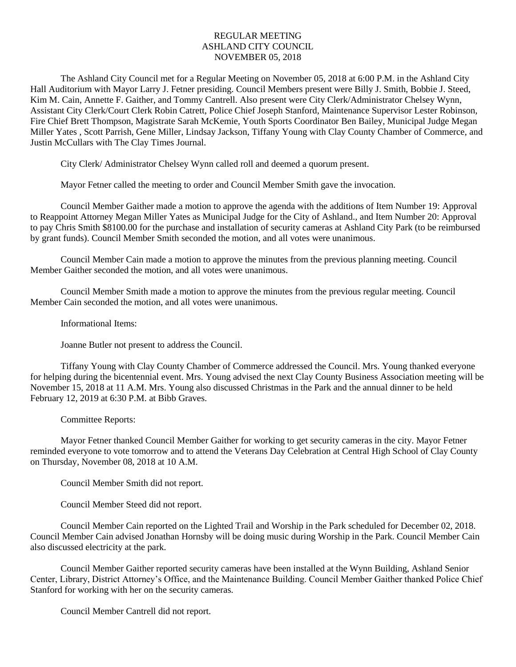## REGULAR MEETING ASHLAND CITY COUNCIL NOVEMBER 05, 2018

The Ashland City Council met for a Regular Meeting on November 05, 2018 at 6:00 P.M. in the Ashland City Hall Auditorium with Mayor Larry J. Fetner presiding. Council Members present were Billy J. Smith, Bobbie J. Steed, Kim M. Cain, Annette F. Gaither, and Tommy Cantrell. Also present were City Clerk/Administrator Chelsey Wynn, Assistant City Clerk/Court Clerk Robin Catrett, Police Chief Joseph Stanford, Maintenance Supervisor Lester Robinson, Fire Chief Brett Thompson, Magistrate Sarah McKemie, Youth Sports Coordinator Ben Bailey, Municipal Judge Megan Miller Yates , Scott Parrish, Gene Miller, Lindsay Jackson, Tiffany Young with Clay County Chamber of Commerce, and Justin McCullars with The Clay Times Journal.

City Clerk/ Administrator Chelsey Wynn called roll and deemed a quorum present.

Mayor Fetner called the meeting to order and Council Member Smith gave the invocation.

Council Member Gaither made a motion to approve the agenda with the additions of Item Number 19: Approval to Reappoint Attorney Megan Miller Yates as Municipal Judge for the City of Ashland., and Item Number 20: Approval to pay Chris Smith \$8100.00 for the purchase and installation of security cameras at Ashland City Park (to be reimbursed by grant funds). Council Member Smith seconded the motion, and all votes were unanimous.

Council Member Cain made a motion to approve the minutes from the previous planning meeting. Council Member Gaither seconded the motion, and all votes were unanimous.

Council Member Smith made a motion to approve the minutes from the previous regular meeting. Council Member Cain seconded the motion, and all votes were unanimous.

Informational Items:

Joanne Butler not present to address the Council.

Tiffany Young with Clay County Chamber of Commerce addressed the Council. Mrs. Young thanked everyone for helping during the bicentennial event. Mrs. Young advised the next Clay County Business Association meeting will be November 15, 2018 at 11 A.M. Mrs. Young also discussed Christmas in the Park and the annual dinner to be held February 12, 2019 at 6:30 P.M. at Bibb Graves.

Committee Reports:

Mayor Fetner thanked Council Member Gaither for working to get security cameras in the city. Mayor Fetner reminded everyone to vote tomorrow and to attend the Veterans Day Celebration at Central High School of Clay County on Thursday, November 08, 2018 at 10 A.M.

Council Member Smith did not report.

Council Member Steed did not report.

Council Member Cain reported on the Lighted Trail and Worship in the Park scheduled for December 02, 2018. Council Member Cain advised Jonathan Hornsby will be doing music during Worship in the Park. Council Member Cain also discussed electricity at the park.

Council Member Gaither reported security cameras have been installed at the Wynn Building, Ashland Senior Center, Library, District Attorney's Office, and the Maintenance Building. Council Member Gaither thanked Police Chief Stanford for working with her on the security cameras.

Council Member Cantrell did not report.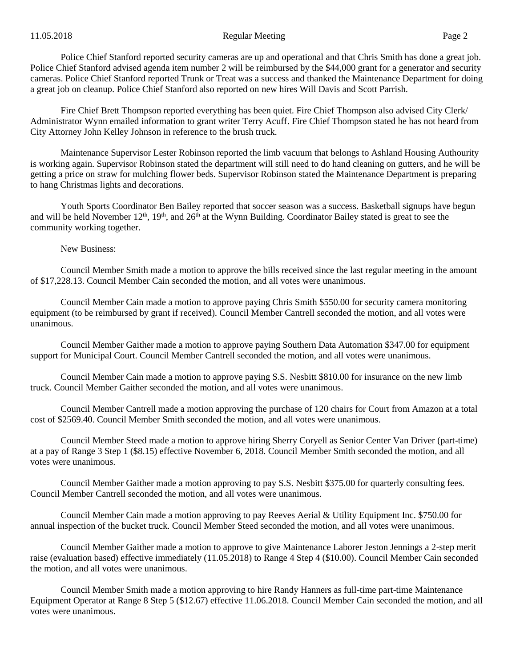Police Chief Stanford reported security cameras are up and operational and that Chris Smith has done a great job. Police Chief Stanford advised agenda item number 2 will be reimbursed by the \$44,000 grant for a generator and security cameras. Police Chief Stanford reported Trunk or Treat was a success and thanked the Maintenance Department for doing a great job on cleanup. Police Chief Stanford also reported on new hires Will Davis and Scott Parrish.

Fire Chief Brett Thompson reported everything has been quiet. Fire Chief Thompson also advised City Clerk/ Administrator Wynn emailed information to grant writer Terry Acuff. Fire Chief Thompson stated he has not heard from City Attorney John Kelley Johnson in reference to the brush truck.

Maintenance Supervisor Lester Robinson reported the limb vacuum that belongs to Ashland Housing Authourity is working again. Supervisor Robinson stated the department will still need to do hand cleaning on gutters, and he will be getting a price on straw for mulching flower beds. Supervisor Robinson stated the Maintenance Department is preparing to hang Christmas lights and decorations.

Youth Sports Coordinator Ben Bailey reported that soccer season was a success. Basketball signups have begun and will be held November  $12<sup>th</sup>$ ,  $19<sup>th</sup>$ , and  $26<sup>th</sup>$  at the Wynn Building. Coordinator Bailey stated is great to see the community working together.

New Business:

Council Member Smith made a motion to approve the bills received since the last regular meeting in the amount of \$17,228.13. Council Member Cain seconded the motion, and all votes were unanimous.

Council Member Cain made a motion to approve paying Chris Smith \$550.00 for security camera monitoring equipment (to be reimbursed by grant if received). Council Member Cantrell seconded the motion, and all votes were unanimous.

Council Member Gaither made a motion to approve paying Southern Data Automation \$347.00 for equipment support for Municipal Court. Council Member Cantrell seconded the motion, and all votes were unanimous.

Council Member Cain made a motion to approve paying S.S. Nesbitt \$810.00 for insurance on the new limb truck. Council Member Gaither seconded the motion, and all votes were unanimous.

Council Member Cantrell made a motion approving the purchase of 120 chairs for Court from Amazon at a total cost of \$2569.40. Council Member Smith seconded the motion, and all votes were unanimous.

Council Member Steed made a motion to approve hiring Sherry Coryell as Senior Center Van Driver (part-time) at a pay of Range 3 Step 1 (\$8.15) effective November 6, 2018. Council Member Smith seconded the motion, and all votes were unanimous.

Council Member Gaither made a motion approving to pay S.S. Nesbitt \$375.00 for quarterly consulting fees. Council Member Cantrell seconded the motion, and all votes were unanimous.

Council Member Cain made a motion approving to pay Reeves Aerial & Utility Equipment Inc. \$750.00 for annual inspection of the bucket truck. Council Member Steed seconded the motion, and all votes were unanimous.

Council Member Gaither made a motion to approve to give Maintenance Laborer Jeston Jennings a 2-step merit raise (evaluation based) effective immediately (11.05.2018) to Range 4 Step 4 (\$10.00). Council Member Cain seconded the motion, and all votes were unanimous.

Council Member Smith made a motion approving to hire Randy Hanners as full-time part-time Maintenance Equipment Operator at Range 8 Step 5 (\$12.67) effective 11.06.2018. Council Member Cain seconded the motion, and all votes were unanimous.